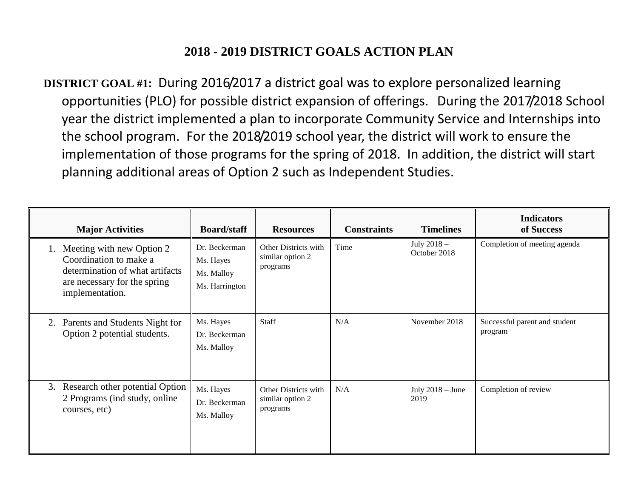## **2018 - 2019 DISTRICT GOALS ACTION PLAN**

**DISTRICT GOAL #1:** During 2016/2017 a district goal was to explore personalized learning opportunities (PLO) for possible district expansion of offerings. During the 2017/2018 School year the district implemented a plan to incorporate Community Service and Internships into the school program. For the 2018/2019 school year, the district will work to ensure the implementation of those programs for the spring of 2018. In addition, the district will start planning additional areas of Option 2 such as Independent Studies.

| <b>Major Activities</b>                                                                                                                         | <b>Board/staff</b>                                         | <b>Resources</b>                                     | <b>Constraints</b> | <b>Timelines</b>            | <b>Indicators</b><br>of Success          |
|-------------------------------------------------------------------------------------------------------------------------------------------------|------------------------------------------------------------|------------------------------------------------------|--------------------|-----------------------------|------------------------------------------|
| Meeting with new Option 2<br>1.<br>Coordination to make a<br>determination of what artifacts<br>are necessary for the spring<br>implementation. | Dr. Beckerman<br>Ms. Hayes<br>Ms. Malloy<br>Ms. Harrington | Other Districts with<br>similar option 2<br>programs | Time               | July 2018 -<br>October 2018 | Completion of meeting agenda             |
| Parents and Students Night for<br>2.<br>Option 2 potential students.                                                                            | Ms. Hayes<br>Dr. Beckerman<br>Ms. Malloy                   | <b>Staff</b>                                         | N/A                | November 2018               | Successful parent and student<br>program |
| Research other potential Option<br>3.<br>2 Programs (ind study, online<br>courses, etc)                                                         | Ms. Hayes<br>Dr. Beckerman<br>Ms. Malloy                   | Other Districts with<br>similar option 2<br>programs | N/A                | July $2018 -$ June<br>2019  | Completion of review                     |